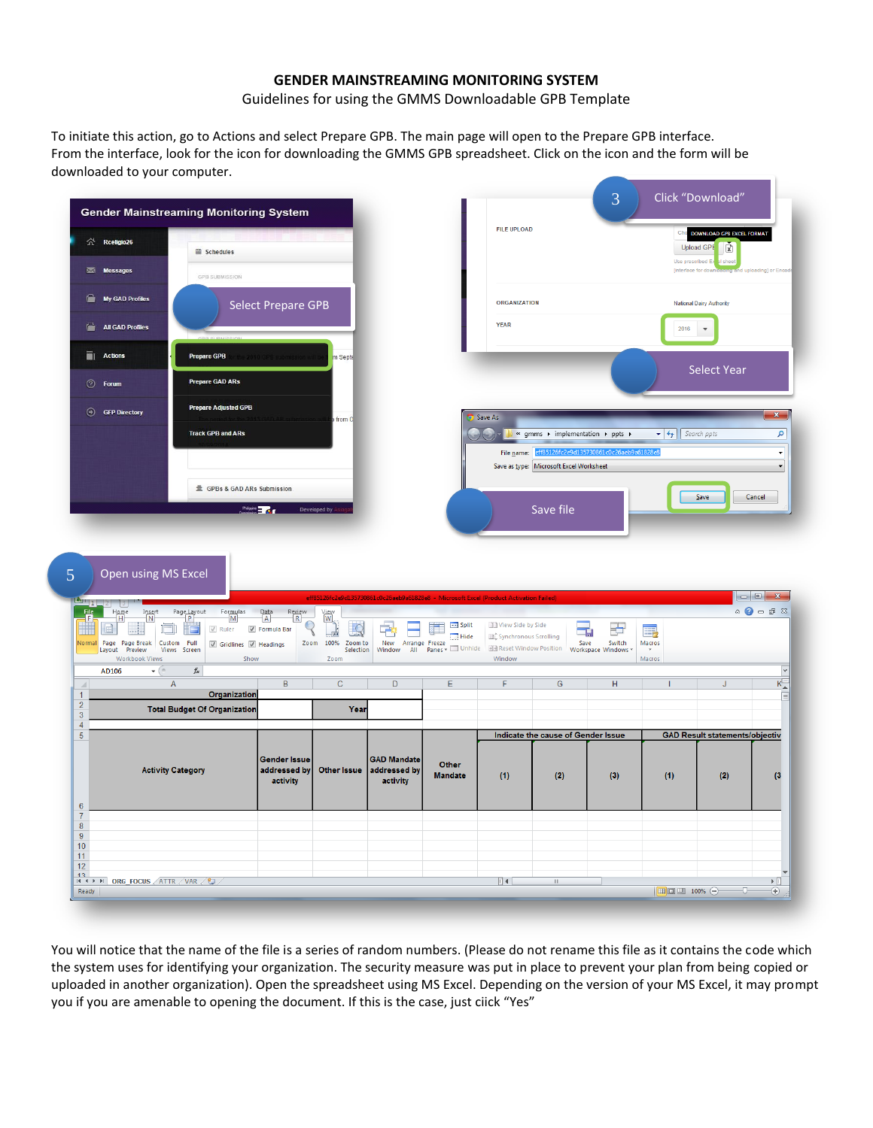## **GENDER MAINSTREAMING MONITORING SYSTEM**

Guidelines for using the GMMS Downloadable GPB Template

To initiate this action, go to Actions and select Prepare GPB. The main page will open to the Prepare GPB interface. From the interface, look for the icon for downloading the GMMS GPB spreadsheet. Click on the icon and the form will be downloaded to your computer.

| $\hat{\curvearrowright}$ Rceligio26                                                                          |                                                                                                                                                                                      |                                                                |                                                      |                                                                                        |                           |                                            | <b>FILE UPLOAD</b>                                                                                                                                    |                     | Ch                                        | DOWNLOAD GPB EXCEL FORMAT<br>Ň<br><b>Upload GPE</b> |                                                         |
|--------------------------------------------------------------------------------------------------------------|--------------------------------------------------------------------------------------------------------------------------------------------------------------------------------------|----------------------------------------------------------------|------------------------------------------------------|----------------------------------------------------------------------------------------|---------------------------|--------------------------------------------|-------------------------------------------------------------------------------------------------------------------------------------------------------|---------------------|-------------------------------------------|-----------------------------------------------------|---------------------------------------------------------|
| Messages                                                                                                     | ■ Schedules<br><b>GPB SUBMISSION</b>                                                                                                                                                 |                                                                |                                                      |                                                                                        |                           |                                            |                                                                                                                                                       |                     | Use pre                                   | shee<br>thed i                                      | ing] or l                                               |
| Ė<br><b>My GAD Profiles</b>                                                                                  |                                                                                                                                                                                      | <b>Select Prepare GPB</b>                                      |                                                      |                                                                                        |                           | <b>ORGANIZATION</b>                        |                                                                                                                                                       |                     |                                           | <b>National Dairy Authority</b>                     |                                                         |
| <b>All GAD Profiles</b><br>G.                                                                                |                                                                                                                                                                                      |                                                                |                                                      |                                                                                        |                           | <b>YEAR</b>                                |                                                                                                                                                       |                     | 2016                                      | $\overline{\mathbf v}$                              |                                                         |
| āı<br>Actions                                                                                                | <b>Prepare GPB</b>                                                                                                                                                                   |                                                                | m Septe                                              |                                                                                        |                           |                                            |                                                                                                                                                       |                     |                                           |                                                     |                                                         |
| <b><i>O</i></b> Forum                                                                                        | <b>Prepare GAD ARs</b>                                                                                                                                                               |                                                                |                                                      |                                                                                        |                           |                                            |                                                                                                                                                       |                     |                                           | <b>Select Year</b>                                  |                                                         |
| <b>GFP Directory</b>                                                                                         | <b>Prepare Adjusted GPB</b>                                                                                                                                                          |                                                                | from O                                               |                                                                                        |                           | Save As                                    |                                                                                                                                                       |                     |                                           |                                                     | $\mathbf{x}$                                            |
|                                                                                                              | <b>Track GPB and ARs</b>                                                                                                                                                             |                                                                |                                                      |                                                                                        |                           | $\sqrt{2}$                                 | $\blacktriangleright$ « gmms $\blacktriangleright$ implementation $\blacktriangleright$ ppts $\blacktriangleright$<br>File name: eff85126fc2e9d135730 | 861c0c26aeb9a61828e | $\bullet$ $\bullet$ $\bullet$ Search ppts |                                                     | م<br>$\overline{\phantom{a}}$                           |
|                                                                                                              |                                                                                                                                                                                      |                                                                |                                                      |                                                                                        |                           |                                            | Save as type: Microsoft Excel Worksheet                                                                                                               |                     |                                           |                                                     |                                                         |
|                                                                                                              | 亖 GPBs & GAD ARs Submission                                                                                                                                                          |                                                                |                                                      |                                                                                        |                           |                                            |                                                                                                                                                       |                     |                                           | Save                                                | Cancel                                                  |
|                                                                                                              |                                                                                                                                                                                      | Philippine <b>Hard Avenue</b>                                  | Developed by                                         |                                                                                        |                           |                                            | Save file                                                                                                                                             |                     |                                           |                                                     |                                                         |
|                                                                                                              |                                                                                                                                                                                      |                                                                |                                                      |                                                                                        |                           |                                            |                                                                                                                                                       |                     |                                           |                                                     |                                                         |
| Open using MS Excel                                                                                          |                                                                                                                                                                                      |                                                                |                                                      |                                                                                        |                           |                                            |                                                                                                                                                       |                     |                                           |                                                     |                                                         |
|                                                                                                              | Formulas                                                                                                                                                                             | Data<br>Review                                                 |                                                      | eff85126fc2e9d135730861c0c26aeb9a61828e8 - Microsoft Excel (Product Activation Failed) |                           |                                            |                                                                                                                                                       |                     |                                           |                                                     | $\circ$ $\circ$ $\circ$ $\circ$ $\circ$ $\circ$ $\circ$ |
| $\frac{Insert}{N}$<br>$H$ ome<br>e) I<br>Page Page Break                                                     | Page Layout<br>$\mathsf{M}% _{T}=\mathsf{M}_{T}\!\left( a,b\right) ,\ \mathsf{M}_{T}=\mathsf{M}_{T}\!\left( a,b\right) ,$<br>$\sqrt{ }$ Ruler<br>Custom Full<br>Gridlines M Headings | $\overline{A}$<br>$\mathsf R$<br>⊙<br>Formula Bar<br>J<br>Zoom | View<br>W<br>要<br>$\frac{1}{100}$<br>100%<br>Zoom to | 中<br>New<br>Arrange Freeze                                                             | $\equiv$ Split<br>Hide    | View Side by Side<br>Synchronous Scrolling | 二、<br>Save                                                                                                                                            | ض<br>Switch         | e,<br>Macros                              |                                                     |                                                         |
| $\mathbf{L}$<br>File<br>Normal<br>Layout Preview<br>Workbook Views<br>AD106<br>$\mathbf{v}$ ( $\mathbf{v}$ ) | Views Screen<br>Show<br>$f_{\!x}$                                                                                                                                                    |                                                                | Selection<br>Zoom                                    |                                                                                        | Window All Panes v Unhide | <b>He</b> Reset Window Position<br>Window  |                                                                                                                                                       | Workspace Windows   | Macros                                    |                                                     |                                                         |
|                                                                                                              | $\overline{A}$<br>Organization                                                                                                                                                       | $\overline{B}$                                                 | $\overline{C}$                                       | $\overline{D}$                                                                         | E                         | F                                          | $\overline{G}$                                                                                                                                        | H                   |                                           | J                                                   | $K_{\perp}$                                             |
|                                                                                                              | <b>Total Budget Of Organization</b>                                                                                                                                                  |                                                                | Year                                                 |                                                                                        |                           |                                            |                                                                                                                                                       |                     |                                           |                                                     |                                                         |
|                                                                                                              |                                                                                                                                                                                      |                                                                |                                                      |                                                                                        |                           |                                            | Indicate the cause of Gender Issue                                                                                                                    |                     |                                           | <b>GAD Result statements/objectiv</b>               |                                                         |
| $\boldsymbol{\varLambda}$                                                                                    | <b>Activity Category</b>                                                                                                                                                             | <b>Gender Issue</b><br>addressed by                            | <b>Other Issue</b>                                   | <b>GAD Mandate</b><br>addressed by                                                     | Other<br><b>Mandate</b>   | (1)                                        | (2)                                                                                                                                                   | (3)                 | (1)                                       | (2)                                                 | (3)                                                     |
|                                                                                                              |                                                                                                                                                                                      | activity                                                       |                                                      | activity                                                                               |                           |                                            |                                                                                                                                                       |                     |                                           |                                                     |                                                         |
|                                                                                                              |                                                                                                                                                                                      |                                                                |                                                      |                                                                                        |                           |                                            |                                                                                                                                                       |                     |                                           |                                                     |                                                         |
| 10<br>12                                                                                                     |                                                                                                                                                                                      |                                                                |                                                      |                                                                                        |                           |                                            |                                                                                                                                                       |                     |                                           |                                                     |                                                         |

You will notice that the name of the file is a series of random numbers. (Please do not rename this file as it contains the code which the system uses for identifying your organization. The security measure was put in place to prevent your plan from being copied or uploaded in another organization). Open the spreadsheet using MS Excel. Depending on the version of your MS Excel, it may prompt you if you are amenable to opening the document. If this is the case, just ciick "Yes"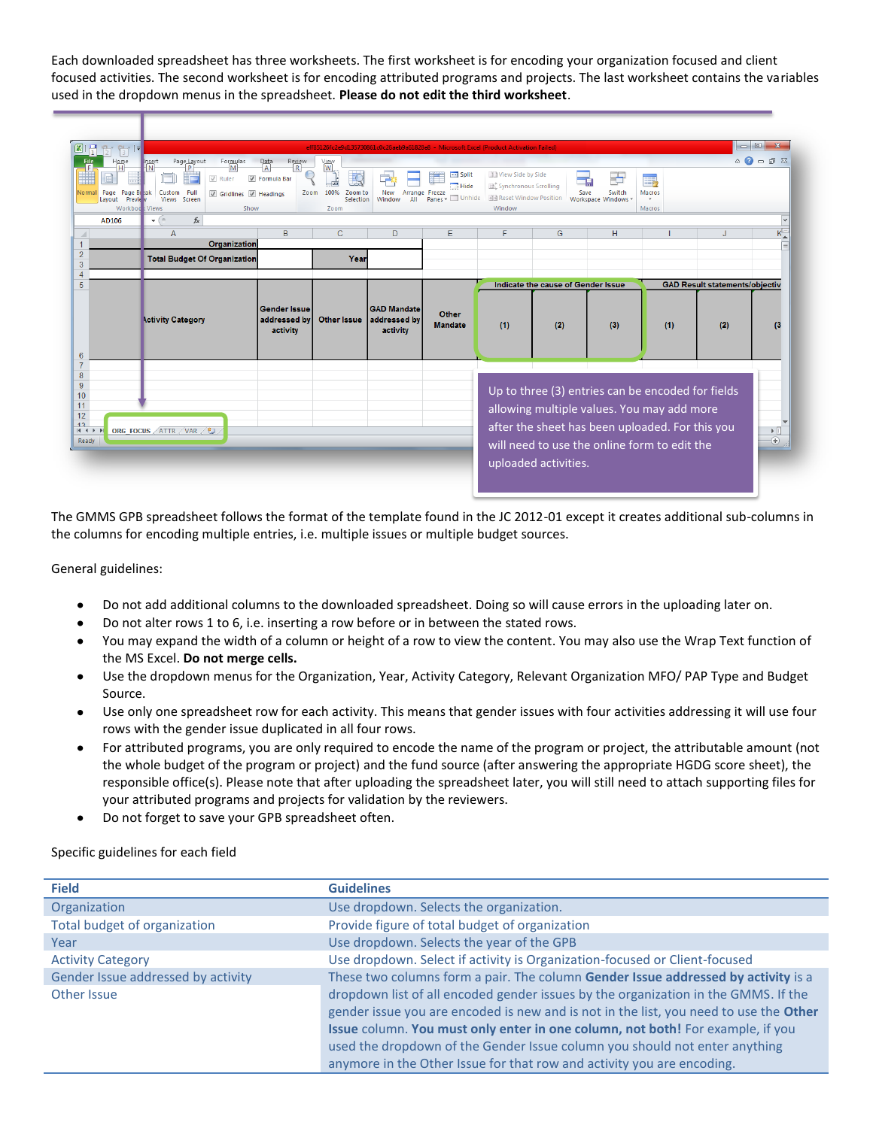Each downloaded spreadsheet has three worksheets. The first worksheet is for encoding your organization focused and client focused activities. The second worksheet is for encoding attributed programs and projects. The last worksheet contains the variables used in the dropdown menus in the spreadsheet. **Please do not edit the third worksheet**.

| $\overline{3}$<br>Home<br>H<br>Page<br>Normal<br>Page Bleak<br><b>Preview</b><br>Lavout<br><b>Workbook</b> Views<br>AD106 | Page Layout<br>Formulas<br>Insert<br>M<br>'N<br><b>P</b><br>$\sqrt{ }$ Ruler<br>Custom<br>Full<br>Gridlines J Headings<br>Views Screen<br>Show<br>$f_x$<br>$\mathbf{v}$ (= | $\frac{\text{Data}}{\text{A}}$<br>$R$ eview<br>Formula Bar | View<br>W<br>$\overline{\mathcal{C}}$<br>Zoom 100%<br>Zoom to<br>Selection<br>Zoom | eff85126fc2e9d135730861c0c26aeb9a61828e8 - Microsoft Excel (Product Activation Failed)<br>ĠB,<br>New<br>Window<br>All | $\blacksquare$ Split<br>Hide<br>Arrange Freeze<br>Panes - Unhide | View Side by Side<br>Synchronous Scrolling<br><b>He Reset Window Position</b><br>Window | Save                                      | ゐ<br>Switch<br>Workspace Windows                                                                                                                                                                   | 醇<br>Macros<br>Macros |                                              | $\overline{\phantom{a}}$ $\overline{\phantom{a}}$<br>$\mathbf{x}$<br>$\circ$ $\bullet$ = $\bullet$ $\&$<br>l v |
|---------------------------------------------------------------------------------------------------------------------------|----------------------------------------------------------------------------------------------------------------------------------------------------------------------------|------------------------------------------------------------|------------------------------------------------------------------------------------|-----------------------------------------------------------------------------------------------------------------------|------------------------------------------------------------------|-----------------------------------------------------------------------------------------|-------------------------------------------|----------------------------------------------------------------------------------------------------------------------------------------------------------------------------------------------------|-----------------------|----------------------------------------------|----------------------------------------------------------------------------------------------------------------|
| $\overline{\mathcal{A}}$                                                                                                  | A                                                                                                                                                                          | B                                                          | $\mathsf{C}$                                                                       | D                                                                                                                     | E                                                                | F                                                                                       | G                                         | H                                                                                                                                                                                                  |                       | J                                            | $K_{\perp}$                                                                                                    |
| 1                                                                                                                         | Organization                                                                                                                                                               |                                                            |                                                                                    |                                                                                                                       |                                                                  |                                                                                         |                                           |                                                                                                                                                                                                    |                       |                                              |                                                                                                                |
|                                                                                                                           | <b>Total Budget Of Organization</b>                                                                                                                                        |                                                            | Year                                                                               |                                                                                                                       |                                                                  |                                                                                         |                                           |                                                                                                                                                                                                    |                       |                                              |                                                                                                                |
|                                                                                                                           |                                                                                                                                                                            |                                                            |                                                                                    |                                                                                                                       |                                                                  |                                                                                         |                                           |                                                                                                                                                                                                    |                       |                                              |                                                                                                                |
|                                                                                                                           | <b>Activity Category</b>                                                                                                                                                   | <b>Gender Issue</b><br>addressed by<br>activity            | <b>Other Issue</b>                                                                 | <b>GAD Mandate</b><br>addressed by<br>activity                                                                        | Other<br><b>Mandate</b>                                          | (1)                                                                                     | Indicate the cause of Gender Issue<br>(2) | (3)                                                                                                                                                                                                | (1)                   | <b>GAD Result statements/objectiv</b><br>(2) | $^{(3)}$                                                                                                       |
| $H$ 4 $F$<br>Ready                                                                                                        | ORG FOCUS ATTR VAR 2                                                                                                                                                       |                                                            |                                                                                    |                                                                                                                       |                                                                  |                                                                                         | uploaded activities.                      | Up to three (3) entries can be encoded for fields<br>allowing multiple values. You may add more<br>after the sheet has been uploaded. For this you<br>will need to use the online form to edit the |                       |                                              | $\triangleright$ $\overline{\mathbb{H}}$<br>$^{\circledR}$                                                     |

The GMMS GPB spreadsheet follows the format of the template found in the JC 2012-01 except it creates additional sub-columns in the columns for encoding multiple entries, i.e. multiple issues or multiple budget sources.

General guidelines:

- Do not add additional columns to the downloaded spreadsheet. Doing so will cause errors in the uploading later on.
- Do not alter rows 1 to 6, i.e. inserting a row before or in between the stated rows.
- You may expand the width of a column or height of a row to view the content. You may also use the Wrap Text function of  $\bullet$ the MS Excel. **Do not merge cells.**
- Use the dropdown menus for the Organization, Year, Activity Category, Relevant Organization MFO/ PAP Type and Budget Source.
- Use only one spreadsheet row for each activity. This means that gender issues with four activities addressing it will use four rows with the gender issue duplicated in all four rows.
- For attributed programs, you are only required to encode the name of the program or project, the attributable amount (not the whole budget of the program or project) and the fund source (after answering the appropriate HGDG score sheet), the responsible office(s). Please note that after uploading the spreadsheet later, you will still need to attach supporting files for your attributed programs and projects for validation by the reviewers.
- Do not forget to save your GPB spreadsheet often.  $\bullet$

Specific guidelines for each field

| <b>Field</b>                       | <b>Guidelines</b>                                                                     |
|------------------------------------|---------------------------------------------------------------------------------------|
| Organization                       | Use dropdown. Selects the organization.                                               |
| Total budget of organization       | Provide figure of total budget of organization                                        |
| Year                               | Use dropdown. Selects the year of the GPB                                             |
| <b>Activity Category</b>           | Use dropdown. Select if activity is Organization-focused or Client-focused            |
| Gender Issue addressed by activity | These two columns form a pair. The column Gender Issue addressed by activity is a     |
| Other Issue                        | dropdown list of all encoded gender issues by the organization in the GMMS. If the    |
|                                    | gender issue you are encoded is new and is not in the list, you need to use the Other |
|                                    | Issue column. You must only enter in one column, not both! For example, if you        |
|                                    | used the dropdown of the Gender Issue column you should not enter anything            |
|                                    | anymore in the Other Issue for that row and activity you are encoding.                |